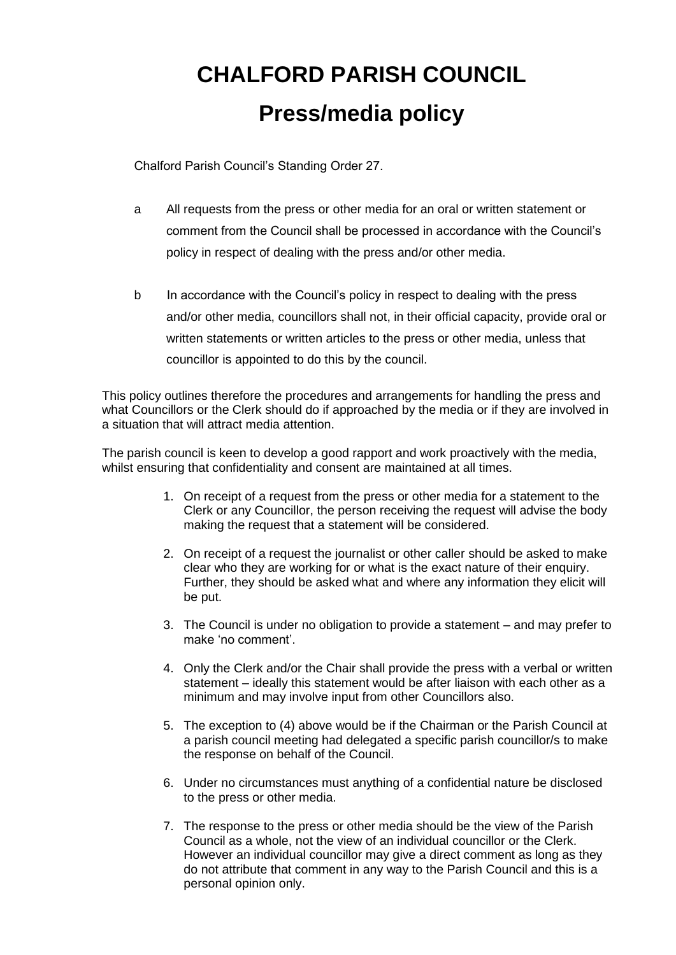## **CHALFORD PARISH COUNCIL Press/media policy**

Chalford Parish Council's Standing Order 27.

- a All requests from the press or other media for an oral or written statement or comment from the Council shall be processed in accordance with the Council's policy in respect of dealing with the press and/or other media.
- b In accordance with the Council's policy in respect to dealing with the press and/or other media, councillors shall not, in their official capacity, provide oral or written statements or written articles to the press or other media, unless that councillor is appointed to do this by the council.

This policy outlines therefore the procedures and arrangements for handling the press and what Councillors or the Clerk should do if approached by the media or if they are involved in a situation that will attract media attention.

The parish council is keen to develop a good rapport and work proactively with the media, whilst ensuring that confidentiality and consent are maintained at all times.

- 1. On receipt of a request from the press or other media for a statement to the Clerk or any Councillor, the person receiving the request will advise the body making the request that a statement will be considered.
- 2. On receipt of a request the journalist or other caller should be asked to make clear who they are working for or what is the exact nature of their enquiry. Further, they should be asked what and where any information they elicit will be put.
- 3. The Council is under no obligation to provide a statement and may prefer to make 'no comment'.
- 4. Only the Clerk and/or the Chair shall provide the press with a verbal or written statement – ideally this statement would be after liaison with each other as a minimum and may involve input from other Councillors also.
- 5. The exception to (4) above would be if the Chairman or the Parish Council at a parish council meeting had delegated a specific parish councillor/s to make the response on behalf of the Council.
- 6. Under no circumstances must anything of a confidential nature be disclosed to the press or other media.
- 7. The response to the press or other media should be the view of the Parish Council as a whole, not the view of an individual councillor or the Clerk. However an individual councillor may give a direct comment as long as they do not attribute that comment in any way to the Parish Council and this is a personal opinion only.